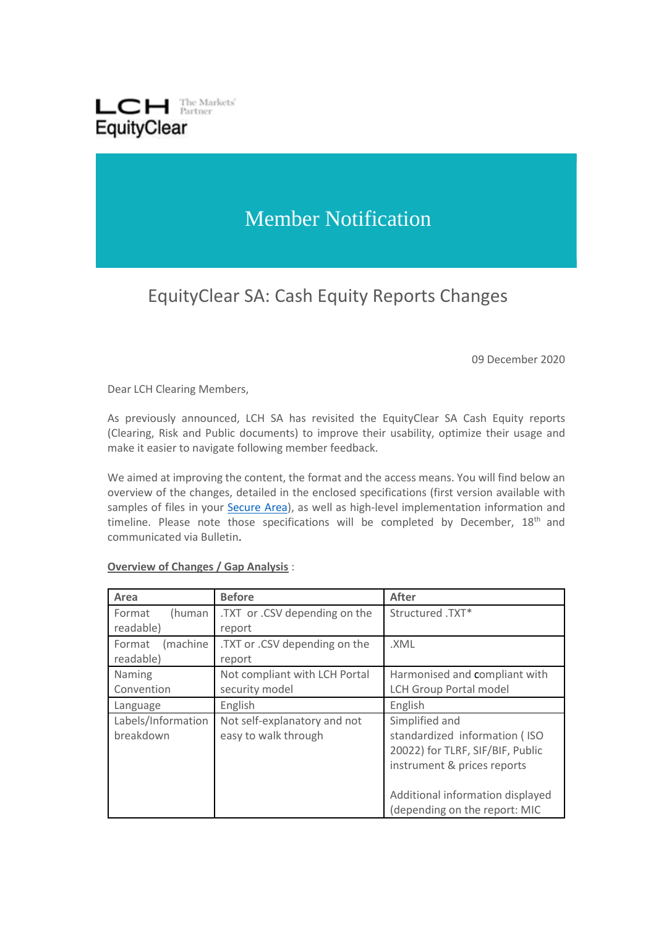

## Member Notification

## EquityClear SA: Cash Equity Reports Changes

09 December 2020

Dear LCH Clearing Members,

As previously announced, LCH SA has revisited the EquityClear SA Cash Equity reports (Clearing, Risk and Public documents) to improve their usability, optimize their usage and make it easier to navigate following member feedback.

We aimed at improving the content, the format and the access means. You will find below an overview of the changes, detailed in the enclosed specifications (first version available with samples of files in your [Secure Area\)](https://secure-area.lchclearnet.com/secure_area/), as well as high-level implementation information and timeline. Please note those specifications will be completed by December,  $18<sup>th</sup>$  and communicated via Bulletin.

## **Overview of Changes / Gap Analysis** :

| Area               | <b>Before</b>                 | <b>After</b>                     |
|--------------------|-------------------------------|----------------------------------|
| Format<br>(human   | .TXT or .CSV depending on the | Structured .TXT*                 |
| readable)          | report                        |                                  |
| (machine<br>Format | .TXT or .CSV depending on the | .XML                             |
| readable)          | report                        |                                  |
| Naming             | Not compliant with LCH Portal | Harmonised and compliant with    |
| Convention         | security model                | <b>LCH Group Portal model</b>    |
| Language           | English                       | English                          |
| Labels/Information | Not self-explanatory and not  | Simplified and                   |
| breakdown          | easy to walk through          | standardized information (ISO    |
|                    |                               | 20022) for TLRF, SIF/BIF, Public |
|                    |                               | instrument & prices reports      |
|                    |                               |                                  |
|                    |                               | Additional information displayed |
|                    |                               | (depending on the report: MIC    |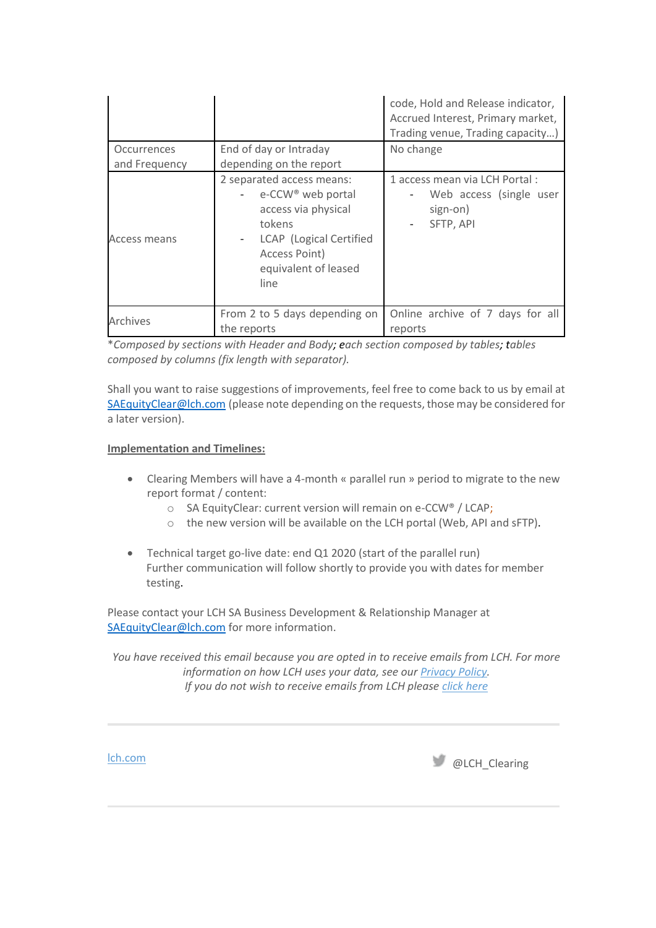|                              |                                                                                                                                                                         | code, Hold and Release indicator,<br>Accrued Interest, Primary market,<br>Trading venue, Trading capacity) |
|------------------------------|-------------------------------------------------------------------------------------------------------------------------------------------------------------------------|------------------------------------------------------------------------------------------------------------|
| Occurrences<br>and Frequency | End of day or Intraday<br>depending on the report                                                                                                                       | No change                                                                                                  |
| Access means                 | 2 separated access means:<br>e-CCW <sup>®</sup> web portal<br>access via physical<br>tokens<br>LCAP (Logical Certified<br>Access Point)<br>equivalent of leased<br>line | 1 access mean via LCH Portal:<br>Web access (single user<br>sign-on)<br>SFTP, API                          |
| Archives                     | From 2 to 5 days depending on<br>the reports                                                                                                                            | Online archive of 7 days for all<br>reports                                                                |

\**Composed by sections with Header and Body; each section composed by tables; tables composed by columns (fix length with separator).*

Shall you want to raise suggestions of improvements, feel free to come back to us by email at [SAEquityClear@lch.com](mailto:SAEquityClear@lch.com) (please note depending on the requests, those may be considered for a later version).

## **Implementation and Timelines:**

- Clearing Members will have a 4-month « parallel run » period to migrate to the new report format / content:
	- o SA EquityClear: current version will remain on e-CCW® / LCAP;
	- o the new version will be available on the LCH portal (Web, API and sFTP).
- Technical target go-live date: end Q1 2020 (start of the parallel run) Further communication will follow shortly to provide you with dates for member testing.

Please contact your LCH SA Business Development & Relationship Manager at [SAEquityClear@lch.com](mailto:SAEquityClear@lch.com) for more information.

*You have received this email because you are opted in to receive emails from LCH. For more information on how LCH uses your data, see ou[r Privacy Policy.](https://protect-eu.mimecast.com/s/8MDuCLv1DImm1vycq6CN4?domain=lch.com) If you do not wish to receive emails from LCH please [click here](mailto:repocleargroupsales@lch.com;%20cdsclearbusinessdevrm@lch.com;%20SAEquityClear@lch.com?subject=Unsubscribe)*